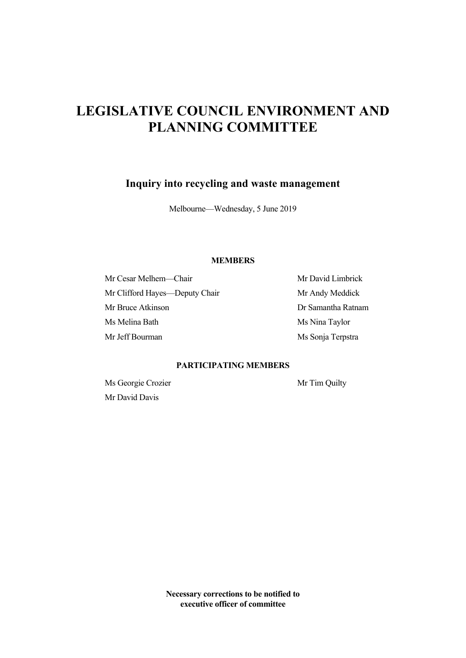# **LEGISLATIVE COUNCIL ENVIRONMENT AND PLANNING COMMITTEE**

**Inquiry into recycling and waste management** 

Melbourne—Wednesday, 5 June 2019

# **MEMBERS**

Mr Cesar Melhem—Chair Mr David Limbrick Mr Clifford Hayes—Deputy Chair Mr Andy Meddick Mr Bruce Atkinson Dr Samantha Ratnam Ms Melina Bath Ms Nina Taylor Mr Jeff Bourman Ms Sonja Terpstra

# **PARTICIPATING MEMBERS**

Ms Georgie Crozier Mr Tim Quilty Mr David Davis

**Necessary corrections to be notified to executive officer of committee**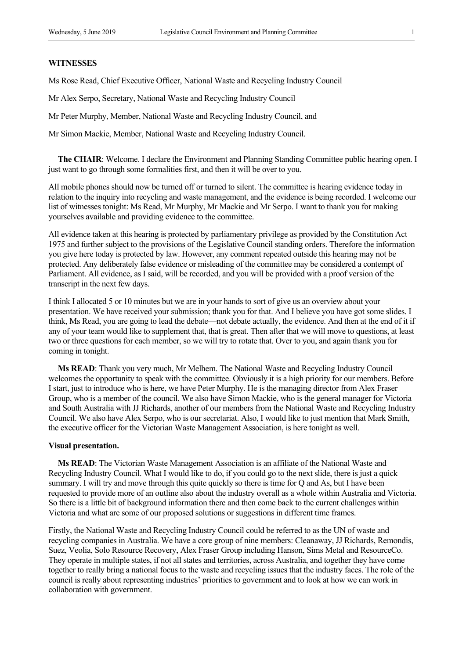# **WITNESSES**

Ms Rose Read, Chief Executive Officer, National Waste and Recycling Industry Council

Mr Alex Serpo, Secretary, National Waste and Recycling Industry Council

Mr Peter Murphy, Member, National Waste and Recycling Industry Council, and

Mr Simon Mackie, Member, National Waste and Recycling Industry Council.

**The CHAIR**: Welcome. I declare the Environment and Planning Standing Committee public hearing open. I just want to go through some formalities first, and then it will be over to you.

All mobile phones should now be turned off or turned to silent. The committee is hearing evidence today in relation to the inquiry into recycling and waste management, and the evidence is being recorded. I welcome our list of witnesses tonight: Ms Read, Mr Murphy, Mr Mackie and Mr Serpo. I want to thank you for making yourselves available and providing evidence to the committee.

All evidence taken at this hearing is protected by parliamentary privilege as provided by the Constitution Act 1975 and further subject to the provisions of the Legislative Council standing orders. Therefore the information you give here today is protected by law. However, any comment repeated outside this hearing may not be protected. Any deliberately false evidence or misleading of the committee may be considered a contempt of Parliament. All evidence, as I said, will be recorded, and you will be provided with a proof version of the transcript in the next few days.

I think I allocated 5 or 10 minutes but we are in your hands to sort of give us an overview about your presentation. We have received your submission; thank you for that. And I believe you have got some slides. I think, Ms Read, you are going to lead the debate—not debate actually, the evidence. And then at the end of it if any of your team would like to supplement that, that is great. Then after that we will move to questions, at least two or three questions for each member, so we will try to rotate that. Over to you, and again thank you for coming in tonight.

**Ms READ**: Thank you very much, Mr Melhem. The National Waste and Recycling Industry Council welcomes the opportunity to speak with the committee. Obviously it is a high priority for our members. Before I start, just to introduce who is here, we have Peter Murphy. He is the managing director from Alex Fraser Group, who is a member of the council. We also have Simon Mackie, who is the general manager for Victoria and South Australia with JJ Richards, another of our members from the National Waste and Recycling Industry Council. We also have Alex Serpo, who is our secretariat. Also, I would like to just mention that Mark Smith, the executive officer for the Victorian Waste Management Association, is here tonight as well.

#### **Visual presentation.**

**Ms READ**: The Victorian Waste Management Association is an affiliate of the National Waste and Recycling Industry Council. What I would like to do, if you could go to the next slide, there is just a quick summary. I will try and move through this quite quickly so there is time for Q and As, but I have been requested to provide more of an outline also about the industry overall as a whole within Australia and Victoria. So there is a little bit of background information there and then come back to the current challenges within Victoria and what are some of our proposed solutions or suggestions in different time frames.

Firstly, the National Waste and Recycling Industry Council could be referred to as the UN of waste and recycling companies in Australia. We have a core group of nine members: Cleanaway, JJ Richards, Remondis, Suez, Veolia, Solo Resource Recovery, Alex Fraser Group including Hanson, Sims Metal and ResourceCo. They operate in multiple states, if not all states and territories, across Australia, and together they have come together to really bring a national focus to the waste and recycling issues that the industry faces. The role of the council is really about representing industries' priorities to government and to look at how we can work in collaboration with government.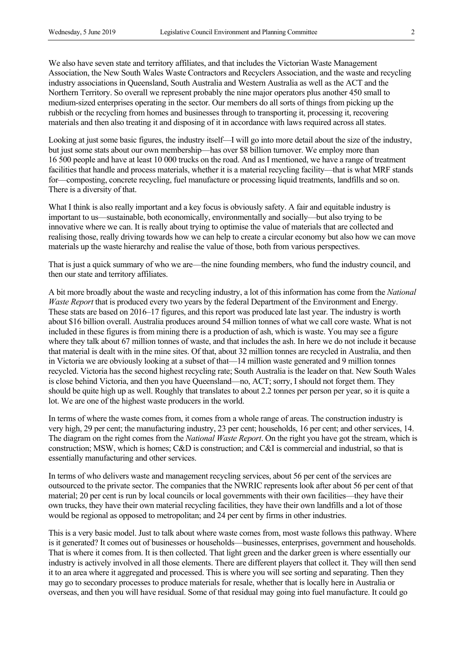We also have seven state and territory affiliates, and that includes the Victorian Waste Management Association, the New South Wales Waste Contractors and Recyclers Association, and the waste and recycling industry associations in Queensland, South Australia and Western Australia as well as the ACT and the Northern Territory. So overall we represent probably the nine major operators plus another 450 small to medium-sized enterprises operating in the sector. Our members do all sorts of things from picking up the rubbish or the recycling from homes and businesses through to transporting it, processing it, recovering materials and then also treating it and disposing of it in accordance with laws required across all states.

Looking at just some basic figures, the industry itself—I will go into more detail about the size of the industry, but just some stats about our own membership—has over \$8 billion turnover. We employ more than 16 500 people and have at least 10 000 trucks on the road. And as I mentioned, we have a range of treatment facilities that handle and process materials, whether it is a material recycling facility—that is what MRF stands for—composting, concrete recycling, fuel manufacture or processing liquid treatments, landfills and so on. There is a diversity of that.

What I think is also really important and a key focus is obviously safety. A fair and equitable industry is important to us—sustainable, both economically, environmentally and socially—but also trying to be innovative where we can. It is really about trying to optimise the value of materials that are collected and realising those, really driving towards how we can help to create a circular economy but also how we can move materials up the waste hierarchy and realise the value of those, both from various perspectives.

That is just a quick summary of who we are—the nine founding members, who fund the industry council, and then our state and territory affiliates.

A bit more broadly about the waste and recycling industry, a lot of this information has come from the *National Waste Report* that is produced every two years by the federal Department of the Environment and Energy. These stats are based on 2016–17 figures, and this report was produced late last year. The industry is worth about \$16 billion overall. Australia produces around 54 million tonnes of what we call core waste. What is not included in these figures is from mining there is a production of ash, which is waste. You may see a figure where they talk about 67 million tonnes of waste, and that includes the ash. In here we do not include it because that material is dealt with in the mine sites. Of that, about 32 million tonnes are recycled in Australia, and then in Victoria we are obviously looking at a subset of that—14 million waste generated and 9 million tonnes recycled. Victoria has the second highest recycling rate; South Australia is the leader on that. New South Wales is close behind Victoria, and then you have Queensland—no, ACT; sorry, I should not forget them. They should be quite high up as well. Roughly that translates to about 2.2 tonnes per person per year, so it is quite a lot. We are one of the highest waste producers in the world.

In terms of where the waste comes from, it comes from a whole range of areas. The construction industry is very high, 29 per cent; the manufacturing industry, 23 per cent; households, 16 per cent; and other services, 14. The diagram on the right comes from the *National Waste Report*. On the right you have got the stream, which is construction; MSW, which is homes; C&D is construction; and C&I is commercial and industrial, so that is essentially manufacturing and other services.

In terms of who delivers waste and management recycling services, about 56 per cent of the services are outsourced to the private sector. The companies that the NWRIC represents look after about 56 per cent of that material; 20 per cent is run by local councils or local governments with their own facilities—they have their own trucks, they have their own material recycling facilities, they have their own landfills and a lot of those would be regional as opposed to metropolitan; and 24 per cent by firms in other industries.

This is a very basic model. Just to talk about where waste comes from, most waste follows this pathway. Where is it generated? It comes out of businesses or households—businesses, enterprises, government and households. That is where it comes from. It is then collected. That light green and the darker green is where essentially our industry is actively involved in all those elements. There are different players that collect it. They will then send it to an area where it aggregated and processed. This is where you will see sorting and separating. Then they may go to secondary processes to produce materials for resale, whether that is locally here in Australia or overseas, and then you will have residual. Some of that residual may going into fuel manufacture. It could go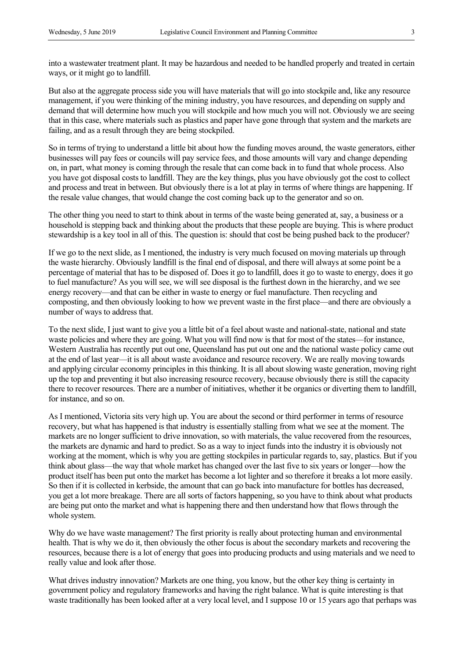into a wastewater treatment plant. It may be hazardous and needed to be handled properly and treated in certain ways, or it might go to landfill.

But also at the aggregate process side you will have materials that will go into stockpile and, like any resource management, if you were thinking of the mining industry, you have resources, and depending on supply and demand that will determine how much you will stockpile and how much you will not. Obviously we are seeing that in this case, where materials such as plastics and paper have gone through that system and the markets are failing, and as a result through they are being stockpiled.

So in terms of trying to understand a little bit about how the funding moves around, the waste generators, either businesses will pay fees or councils will pay service fees, and those amounts will vary and change depending on, in part, what money is coming through the resale that can come back in to fund that whole process. Also you have got disposal costs to landfill. They are the key things, plus you have obviously got the cost to collect and process and treat in between. But obviously there is a lot at play in terms of where things are happening. If the resale value changes, that would change the cost coming back up to the generator and so on.

The other thing you need to start to think about in terms of the waste being generated at, say, a business or a household is stepping back and thinking about the products that these people are buying. This is where product stewardship is a key tool in all of this. The question is: should that cost be being pushed back to the producer?

If we go to the next slide, as I mentioned, the industry is very much focused on moving materials up through the waste hierarchy. Obviously landfill is the final end of disposal, and there will always at some point be a percentage of material that has to be disposed of. Does it go to landfill, does it go to waste to energy, does it go to fuel manufacture? As you will see, we will see disposal is the furthest down in the hierarchy, and we see energy recovery—and that can be either in waste to energy or fuel manufacture. Then recycling and composting, and then obviously looking to how we prevent waste in the first place—and there are obviously a number of ways to address that.

To the next slide, I just want to give you a little bit of a feel about waste and national-state, national and state waste policies and where they are going. What you will find now is that for most of the states—for instance, Western Australia has recently put out one, Queensland has put out one and the national waste policy came out at the end of last year—it is all about waste avoidance and resource recovery. We are really moving towards and applying circular economy principles in this thinking. It is all about slowing waste generation, moving right up the top and preventing it but also increasing resource recovery, because obviously there is still the capacity there to recover resources. There are a number of initiatives, whether it be organics or diverting them to landfill, for instance, and so on.

As I mentioned, Victoria sits very high up. You are about the second or third performer in terms of resource recovery, but what has happened is that industry is essentially stalling from what we see at the moment. The markets are no longer sufficient to drive innovation, so with materials, the value recovered from the resources, the markets are dynamic and hard to predict. So as a way to inject funds into the industry it is obviously not working at the moment, which is why you are getting stockpiles in particular regards to, say, plastics. But if you think about glass—the way that whole market has changed over the last five to six years or longer—how the product itself has been put onto the market has become a lot lighter and so therefore it breaks a lot more easily. So then if it is collected in kerbside, the amount that can go back into manufacture for bottles has decreased, you get a lot more breakage. There are all sorts of factors happening, so you have to think about what products are being put onto the market and what is happening there and then understand how that flows through the whole system.

Why do we have waste management? The first priority is really about protecting human and environmental health. That is why we do it, then obviously the other focus is about the secondary markets and recovering the resources, because there is a lot of energy that goes into producing products and using materials and we need to really value and look after those.

What drives industry innovation? Markets are one thing, you know, but the other key thing is certainty in government policy and regulatory frameworks and having the right balance. What is quite interesting is that waste traditionally has been looked after at a very local level, and I suppose 10 or 15 years ago that perhaps was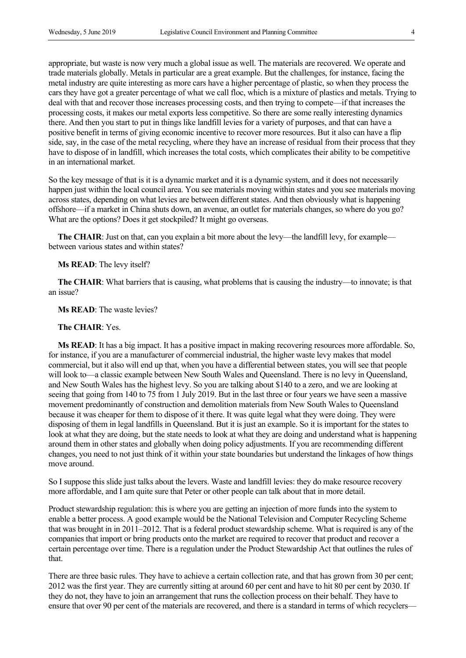appropriate, but waste is now very much a global issue as well. The materials are recovered. We operate and trade materials globally. Metals in particular are a great example. But the challenges, for instance, facing the metal industry are quite interesting as more cars have a higher percentage of plastic, so when they process the cars they have got a greater percentage of what we call floc, which is a mixture of plastics and metals. Trying to deal with that and recover those increases processing costs, and then trying to compete—if that increases the processing costs, it makes our metal exports less competitive. So there are some really interesting dynamics there. And then you start to put in things like landfill levies for a variety of purposes, and that can have a positive benefit in terms of giving economic incentive to recover more resources. But it also can have a flip side, say, in the case of the metal recycling, where they have an increase of residual from their process that they have to dispose of in landfill, which increases the total costs, which complicates their ability to be competitive in an international market.

So the key message of that is it is a dynamic market and it is a dynamic system, and it does not necessarily happen just within the local council area. You see materials moving within states and you see materials moving across states, depending on what levies are between different states. And then obviously what is happening offshore—if a market in China shuts down, an avenue, an outlet for materials changes, so where do you go? What are the options? Does it get stockpiled? It might go overseas.

The CHAIR: Just on that, can you explain a bit more about the levy—the landfill levy, for example between various states and within states?

#### **Ms READ**: The levy itself?

**The CHAIR**: What barriers that is causing, what problems that is causing the industry—to innovate; is that an issue?

## **Ms READ**: The waste levies?

#### **The CHAIR**: Yes.

**Ms READ**: It has a big impact. It has a positive impact in making recovering resources more affordable. So, for instance, if you are a manufacturer of commercial industrial, the higher waste levy makes that model commercial, but it also will end up that, when you have a differential between states, you will see that people will look to—a classic example between New South Wales and Queensland. There is no levy in Queensland, and New South Wales has the highest levy. So you are talking about \$140 to a zero, and we are looking at seeing that going from 140 to 75 from 1 July 2019. But in the last three or four years we have seen a massive movement predominantly of construction and demolition materials from New South Wales to Queensland because it was cheaper for them to dispose of it there. It was quite legal what they were doing. They were disposing of them in legal landfills in Queensland. But it is just an example. So it is important for the states to look at what they are doing, but the state needs to look at what they are doing and understand what is happening around them in other states and globally when doing policy adjustments. If you are recommending different changes, you need to not just think of it within your state boundaries but understand the linkages of how things move around.

So I suppose this slide just talks about the levers. Waste and landfill levies: they do make resource recovery more affordable, and I am quite sure that Peter or other people can talk about that in more detail.

Product stewardship regulation: this is where you are getting an injection of more funds into the system to enable a better process. A good example would be the National Television and Computer Recycling Scheme that was brought in in 2011–2012. That is a federal product stewardship scheme. What is required is any of the companies that import or bring products onto the market are required to recover that product and recover a certain percentage over time. There is a regulation under the Product Stewardship Act that outlines the rules of that.

There are three basic rules. They have to achieve a certain collection rate, and that has grown from 30 per cent; 2012 was the first year. They are currently sitting at around 60 per cent and have to hit 80 per cent by 2030. If they do not, they have to join an arrangement that runs the collection process on their behalf. They have to ensure that over 90 per cent of the materials are recovered, and there is a standard in terms of which recyclers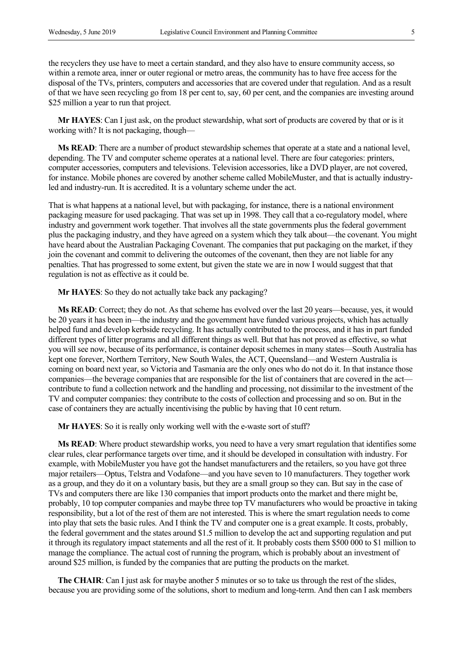the recyclers they use have to meet a certain standard, and they also have to ensure community access, so within a remote area, inner or outer regional or metro areas, the community has to have free access for the disposal of the TVs, printers, computers and accessories that are covered under that regulation. And as a result of that we have seen recycling go from 18 per cent to, say, 60 per cent, and the companies are investing around \$25 million a year to run that project.

**Mr HAYES**: Can I just ask, on the product stewardship, what sort of products are covered by that or is it working with? It is not packaging, though—

**Ms READ**: There are a number of product stewardship schemes that operate at a state and a national level, depending. The TV and computer scheme operates at a national level. There are four categories: printers, computer accessories, computers and televisions. Television accessories, like a DVD player, are not covered, for instance. Mobile phones are covered by another scheme called MobileMuster, and that is actually industryled and industry-run. It is accredited. It is a voluntary scheme under the act.

That is what happens at a national level, but with packaging, for instance, there is a national environment packaging measure for used packaging. That was set up in 1998. They call that a co-regulatory model, where industry and government work together. That involves all the state governments plus the federal government plus the packaging industry, and they have agreed on a system which they talk about—the covenant. You might have heard about the Australian Packaging Covenant. The companies that put packaging on the market, if they join the covenant and commit to delivering the outcomes of the covenant, then they are not liable for any penalties. That has progressed to some extent, but given the state we are in now I would suggest that that regulation is not as effective as it could be.

**Mr HAYES**: So they do not actually take back any packaging?

**Ms READ**: Correct; they do not. As that scheme has evolved over the last 20 years—because, yes, it would be 20 years it has been in—the industry and the government have funded various projects, which has actually helped fund and develop kerbside recycling. It has actually contributed to the process, and it has in part funded different types of litter programs and all different things as well. But that has not proved as effective, so what you will see now, because of its performance, is container deposit schemes in many states—South Australia has kept one forever, Northern Territory, New South Wales, the ACT, Queensland—and Western Australia is coming on board next year, so Victoria and Tasmania are the only ones who do not do it. In that instance those companies—the beverage companies that are responsible for the list of containers that are covered in the act contribute to fund a collection network and the handling and processing, not dissimilar to the investment of the TV and computer companies: they contribute to the costs of collection and processing and so on. But in the case of containers they are actually incentivising the public by having that 10 cent return.

**Mr HAYES**: So it is really only working well with the e-waste sort of stuff?

**Ms READ**: Where product stewardship works, you need to have a very smart regulation that identifies some clear rules, clear performance targets over time, and it should be developed in consultation with industry. For example, with MobileMuster you have got the handset manufacturers and the retailers, so you have got three major retailers—Optus, Telstra and Vodafone—and you have seven to 10 manufacturers. They together work as a group, and they do it on a voluntary basis, but they are a small group so they can. But say in the case of TVs and computers there are like 130 companies that import products onto the market and there might be, probably, 10 top computer companies and maybe three top TV manufacturers who would be proactive in taking responsibility, but a lot of the rest of them are not interested. This is where the smart regulation needs to come into play that sets the basic rules. And I think the TV and computer one is a great example. It costs, probably, the federal government and the states around \$1.5 million to develop the act and supporting regulation and put it through its regulatory impact statements and all the rest of it. It probably costs them \$500 000 to \$1 million to manage the compliance. The actual cost of running the program, which is probably about an investment of around \$25 million, is funded by the companies that are putting the products on the market.

**The CHAIR**: Can I just ask for maybe another 5 minutes or so to take us through the rest of the slides, because you are providing some of the solutions, short to medium and long-term. And then can I ask members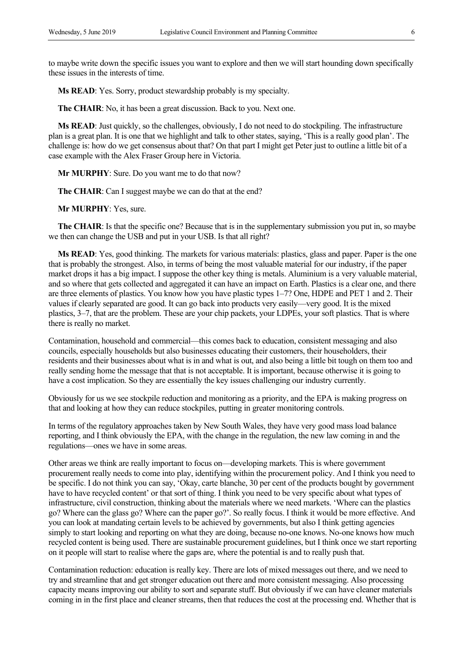to maybe write down the specific issues you want to explore and then we will start hounding down specifically these issues in the interests of time.

**Ms READ**: Yes. Sorry, product stewardship probably is my specialty.

**The CHAIR**: No, it has been a great discussion. Back to you. Next one.

**Ms READ**: Just quickly, so the challenges, obviously, I do not need to do stockpiling. The infrastructure plan is a great plan. It is one that we highlight and talk to other states, saying, 'This is a really good plan'. The challenge is: how do we get consensus about that? On that part I might get Peter just to outline a little bit of a case example with the Alex Fraser Group here in Victoria.

**Mr MURPHY**: Sure. Do you want me to do that now?

**The CHAIR**: Can I suggest maybe we can do that at the end?

**Mr MURPHY**: Yes, sure.

**The CHAIR**: Is that the specific one? Because that is in the supplementary submission you put in, so maybe we then can change the USB and put in your USB. Is that all right?

**Ms READ**: Yes, good thinking. The markets for various materials: plastics, glass and paper. Paper is the one that is probably the strongest. Also, in terms of being the most valuable material for our industry, if the paper market drops it has a big impact. I suppose the other key thing is metals. Aluminium is a very valuable material, and so where that gets collected and aggregated it can have an impact on Earth. Plastics is a clear one, and there are three elements of plastics. You know how you have plastic types 1–7? One, HDPE and PET 1 and 2. Their values if clearly separated are good. It can go back into products very easily—very good. It is the mixed plastics, 3–7, that are the problem. These are your chip packets, your LDPEs, your soft plastics. That is where there is really no market.

Contamination, household and commercial—this comes back to education, consistent messaging and also councils, especially households but also businesses educating their customers, their householders, their residents and their businesses about what is in and what is out, and also being a little bit tough on them too and really sending home the message that that is not acceptable. It is important, because otherwise it is going to have a cost implication. So they are essentially the key issues challenging our industry currently.

Obviously for us we see stockpile reduction and monitoring as a priority, and the EPA is making progress on that and looking at how they can reduce stockpiles, putting in greater monitoring controls.

In terms of the regulatory approaches taken by New South Wales, they have very good mass load balance reporting, and I think obviously the EPA, with the change in the regulation, the new law coming in and the regulations—ones we have in some areas.

Other areas we think are really important to focus on—developing markets. This is where government procurement really needs to come into play, identifying within the procurement policy. And I think you need to be specific. I do not think you can say, 'Okay, carte blanche, 30 per cent of the products bought by government have to have recycled content' or that sort of thing. I think you need to be very specific about what types of infrastructure, civil construction, thinking about the materials where we need markets. 'Where can the plastics go? Where can the glass go? Where can the paper go?'. So really focus. I think it would be more effective. And you can look at mandating certain levels to be achieved by governments, but also I think getting agencies simply to start looking and reporting on what they are doing, because no-one knows. No-one knows how much recycled content is being used. There are sustainable procurement guidelines, but I think once we start reporting on it people will start to realise where the gaps are, where the potential is and to really push that.

Contamination reduction: education is really key. There are lots of mixed messages out there, and we need to try and streamline that and get stronger education out there and more consistent messaging. Also processing capacity means improving our ability to sort and separate stuff. But obviously if we can have cleaner materials coming in in the first place and cleaner streams, then that reduces the cost at the processing end. Whether that is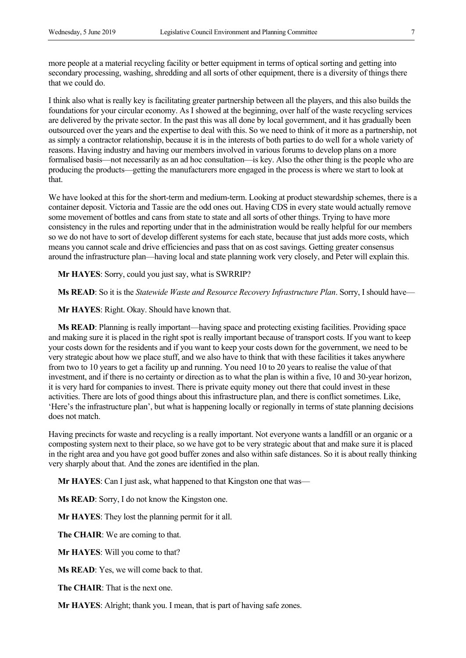more people at a material recycling facility or better equipment in terms of optical sorting and getting into secondary processing, washing, shredding and all sorts of other equipment, there is a diversity of things there that we could do.

I think also what is really key is facilitating greater partnership between all the players, and this also builds the foundations for your circular economy. As I showed at the beginning, over half of the waste recycling services are delivered by the private sector. In the past this was all done by local government, and it has gradually been outsourced over the years and the expertise to deal with this. So we need to think of it more as a partnership, not as simply a contractor relationship, because it is in the interests of both parties to do well for a whole variety of reasons. Having industry and having our members involved in various forums to develop plans on a more formalised basis—not necessarily as an ad hoc consultation—is key. Also the other thing is the people who are producing the products—getting the manufacturers more engaged in the process is where we start to look at that.

We have looked at this for the short-term and medium-term. Looking at product stewardship schemes, there is a container deposit. Victoria and Tassie are the odd ones out. Having CDS in every state would actually remove some movement of bottles and cans from state to state and all sorts of other things. Trying to have more consistency in the rules and reporting under that in the administration would be really helpful for our members so we do not have to sort of develop different systems for each state, because that just adds more costs, which means you cannot scale and drive efficiencies and pass that on as cost savings. Getting greater consensus around the infrastructure plan—having local and state planning work very closely, and Peter will explain this.

**Mr HAYES**: Sorry, could you just say, what is SWRRIP?

**Ms READ**: So it is the *Statewide Waste and Resource Recovery Infrastructure Plan*. Sorry, I should have—

**Mr HAYES**: Right. Okay. Should have known that.

**Ms READ**: Planning is really important—having space and protecting existing facilities. Providing space and making sure it is placed in the right spot is really important because of transport costs. If you want to keep your costs down for the residents and if you want to keep your costs down for the government, we need to be very strategic about how we place stuff, and we also have to think that with these facilities it takes anywhere from two to 10 years to get a facility up and running. You need 10 to 20 years to realise the value of that investment, and if there is no certainty or direction as to what the plan is within a five, 10 and 30-year horizon, it is very hard for companies to invest. There is private equity money out there that could invest in these activities. There are lots of good things about this infrastructure plan, and there is conflict sometimes. Like, 'Here's the infrastructure plan', but what is happening locally or regionally in terms of state planning decisions does not match.

Having precincts for waste and recycling is a really important. Not everyone wants a landfill or an organic or a composting system next to their place, so we have got to be very strategic about that and make sure it is placed in the right area and you have got good buffer zones and also within safe distances. So it is about really thinking very sharply about that. And the zones are identified in the plan.

**Mr HAYES**: Can I just ask, what happened to that Kingston one that was—

**Ms READ**: Sorry, I do not know the Kingston one.

**Mr HAYES**: They lost the planning permit for it all.

**The CHAIR**: We are coming to that.

**Mr HAYES**: Will you come to that?

**Ms READ:** Yes, we will come back to that.

**The CHAIR**: That is the next one.

**Mr HAYES**: Alright; thank you. I mean, that is part of having safe zones.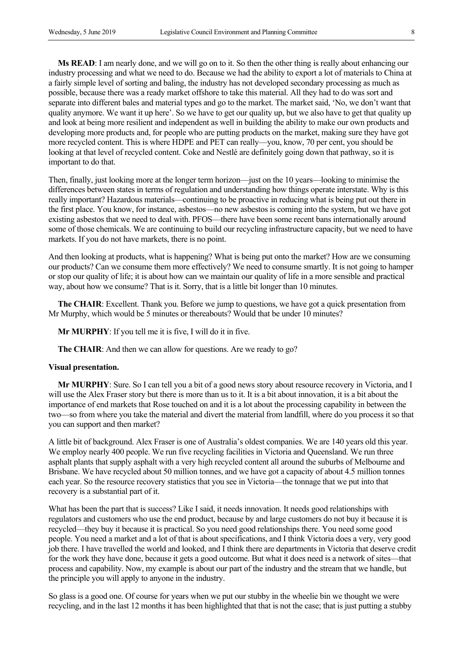**Ms READ**: I am nearly done, and we will go on to it. So then the other thing is really about enhancing our industry processing and what we need to do. Because we had the ability to export a lot of materials to China at a fairly simple level of sorting and baling, the industry has not developed secondary processing as much as possible, because there was a ready market offshore to take this material. All they had to do was sort and separate into different bales and material types and go to the market. The market said, 'No, we don't want that quality anymore. We want it up here'. So we have to get our quality up, but we also have to get that quality up and look at being more resilient and independent as well in building the ability to make our own products and developing more products and, for people who are putting products on the market, making sure they have got more recycled content. This is where HDPE and PET can really—you, know, 70 per cent, you should be looking at that level of recycled content. Coke and Nestlé are definitely going down that pathway, so it is important to do that.

Then, finally, just looking more at the longer term horizon—just on the 10 years—looking to minimise the differences between states in terms of regulation and understanding how things operate interstate. Why is this really important? Hazardous materials—continuing to be proactive in reducing what is being put out there in the first place. You know, for instance, asbestos—no new asbestos is coming into the system, but we have got existing asbestos that we need to deal with. PFOS—there have been some recent bans internationally around some of those chemicals. We are continuing to build our recycling infrastructure capacity, but we need to have markets. If you do not have markets, there is no point.

And then looking at products, what is happening? What is being put onto the market? How are we consuming our products? Can we consume them more effectively? We need to consume smartly. It is not going to hamper or stop our quality of life; it is about how can we maintain our quality of life in a more sensible and practical way, about how we consume? That is it. Sorry, that is a little bit longer than 10 minutes.

**The CHAIR**: Excellent. Thank you. Before we jump to questions, we have got a quick presentation from Mr Murphy, which would be 5 minutes or thereabouts? Would that be under 10 minutes?

**Mr MURPHY**: If you tell me it is five, I will do it in five.

**The CHAIR**: And then we can allow for questions. Are we ready to go?

#### **Visual presentation.**

**Mr MURPHY**: Sure. So I can tell you a bit of a good news story about resource recovery in Victoria, and I will use the Alex Fraser story but there is more than us to it. It is a bit about innovation, it is a bit about the importance of end markets that Rose touched on and it is a lot about the processing capability in between the two—so from where you take the material and divert the material from landfill, where do you process it so that you can support and then market?

A little bit of background. Alex Fraser is one of Australia's oldest companies. We are 140 years old this year. We employ nearly 400 people. We run five recycling facilities in Victoria and Queensland. We run three asphalt plants that supply asphalt with a very high recycled content all around the suburbs of Melbourne and Brisbane. We have recycled about 50 million tonnes, and we have got a capacity of about 4.5 million tonnes each year. So the resource recovery statistics that you see in Victoria—the tonnage that we put into that recovery is a substantial part of it.

What has been the part that is success? Like I said, it needs innovation. It needs good relationships with regulators and customers who use the end product, because by and large customers do not buy it because it is recycled—they buy it because it is practical. So you need good relationships there. You need some good people. You need a market and a lot of that is about specifications, and I think Victoria does a very, very good job there. I have travelled the world and looked, and I think there are departments in Victoria that deserve credit for the work they have done, because it gets a good outcome. But what it does need is a network of sites—that process and capability. Now, my example is about our part of the industry and the stream that we handle, but the principle you will apply to anyone in the industry.

So glass is a good one. Of course for years when we put our stubby in the wheelie bin we thought we were recycling, and in the last 12 months it has been highlighted that that is not the case; that is just putting a stubby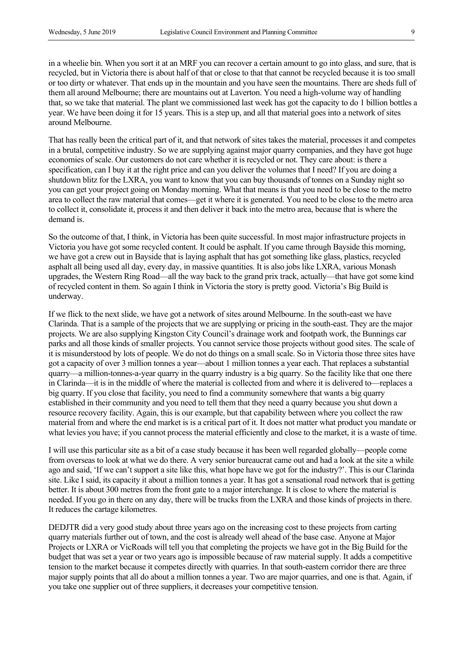in a wheelie bin. When you sort it at an MRF you can recover a certain amount to go into glass, and sure, that is recycled, but in Victoria there is about half of that or close to that that cannot be recycled because it is too small or too dirty or whatever. That ends up in the mountain and you have seen the mountains. There are sheds full of them all around Melbourne; there are mountains out at Laverton. You need a high-volume way of handling that, so we take that material. The plant we commissioned last week has got the capacity to do 1 billion bottles a year. We have been doing it for 15 years. This is a step up, and all that material goes into a network of sites around Melbourne.

That has really been the critical part of it, and that network of sites takes the material, processes it and competes in a brutal, competitive industry. So we are supplying against major quarry companies, and they have got huge economies of scale. Our customers do not care whether it is recycled or not. They care about: is there a specification, can I buy it at the right price and can you deliver the volumes that I need? If you are doing a shutdown blitz for the LXRA, you want to know that you can buy thousands of tonnes on a Sunday night so you can get your project going on Monday morning. What that means is that you need to be close to the metro area to collect the raw material that comes—get it where it is generated. You need to be close to the metro area to collect it, consolidate it, process it and then deliver it back into the metro area, because that is where the demand is.

So the outcome of that, I think, in Victoria has been quite successful. In most major infrastructure projects in Victoria you have got some recycled content. It could be asphalt. If you came through Bayside this morning, we have got a crew out in Bayside that is laying asphalt that has got something like glass, plastics, recycled asphalt all being used all day, every day, in massive quantities. It is also jobs like LXRA, various Monash upgrades, the Western Ring Road—all the way back to the grand prix track, actually—that have got some kind of recycled content in them. So again I think in Victoria the story is pretty good. Victoria's Big Build is underway.

If we flick to the next slide, we have got a network of sites around Melbourne. In the south-east we have Clarinda. That is a sample of the projects that we are supplying or pricing in the south-east. They are the major projects. We are also supplying Kingston City Council's drainage work and footpath work, the Bunnings car parks and all those kinds of smaller projects. You cannot service those projects without good sites. The scale of it is misunderstood by lots of people. We do not do things on a small scale. So in Victoria those three sites have got a capacity of over 3 million tonnes a year—about 1 million tonnes a year each. That replaces a substantial quarry—a million-tonnes-a-year quarry in the quarry industry is a big quarry. So the facility like that one there in Clarinda—it is in the middle of where the material is collected from and where it is delivered to—replaces a big quarry. If you close that facility, you need to find a community somewhere that wants a big quarry established in their community and you need to tell them that they need a quarry because you shut down a resource recovery facility. Again, this is our example, but that capability between where you collect the raw material from and where the end market is is a critical part of it. It does not matter what product you mandate or what levies you have; if you cannot process the material efficiently and close to the market, it is a waste of time.

I will use this particular site as a bit of a case study because it has been well regarded globally—people come from overseas to look at what we do there. A very senior bureaucrat came out and had a look at the site a while ago and said, 'If we can't support a site like this, what hope have we got for the industry?'. This is our Clarinda site. Like I said, its capacity it about a million tonnes a year. It has got a sensational road network that is getting better. It is about 300 metres from the front gate to a major interchange. It is close to where the material is needed. If you go in there on any day, there will be trucks from the LXRA and those kinds of projects in there. It reduces the cartage kilometres.

DEDJTR did a very good study about three years ago on the increasing cost to these projects from carting quarry materials further out of town, and the cost is already well ahead of the base case. Anyone at Major Projects or LXRA or VicRoads will tell you that completing the projects we have got in the Big Build for the budget that was set a year or two years ago is impossible because of raw material supply. It adds a competitive tension to the market because it competes directly with quarries. In that south-eastern corridor there are three major supply points that all do about a million tonnes a year. Two are major quarries, and one is that. Again, if you take one supplier out of three suppliers, it decreases your competitive tension.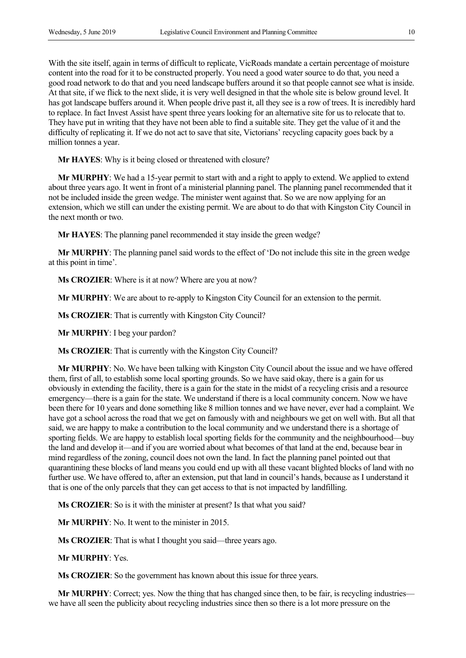With the site itself, again in terms of difficult to replicate, VicRoads mandate a certain percentage of moisture content into the road for it to be constructed properly. You need a good water source to do that, you need a good road network to do that and you need landscape buffers around it so that people cannot see what is inside. At that site, if we flick to the next slide, it is very well designed in that the whole site is below ground level. It has got landscape buffers around it. When people drive past it, all they see is a row of trees. It is incredibly hard to replace. In fact Invest Assist have spent three years looking for an alternative site for us to relocate that to. They have put in writing that they have not been able to find a suitable site. They get the value of it and the difficulty of replicating it. If we do not act to save that site, Victorians' recycling capacity goes back by a million tonnes a year.

**Mr HAYES**: Why is it being closed or threatened with closure?

**Mr MURPHY**: We had a 15-year permit to start with and a right to apply to extend. We applied to extend about three years ago. It went in front of a ministerial planning panel. The planning panel recommended that it not be included inside the green wedge. The minister went against that. So we are now applying for an extension, which we still can under the existing permit. We are about to do that with Kingston City Council in the next month or two.

**Mr HAYES**: The planning panel recommended it stay inside the green wedge?

**Mr MURPHY**: The planning panel said words to the effect of 'Do not include this site in the green wedge at this point in time'.

**Ms CROZIER**: Where is it at now? Where are you at now?

**Mr MURPHY**: We are about to re-apply to Kingston City Council for an extension to the permit.

**Ms CROZIER**: That is currently with Kingston City Council?

**Mr MURPHY**: I beg your pardon?

**Ms CROZIER**: That is currently with the Kingston City Council?

**Mr MURPHY**: No. We have been talking with Kingston City Council about the issue and we have offered them, first of all, to establish some local sporting grounds. So we have said okay, there is a gain for us obviously in extending the facility, there is a gain for the state in the midst of a recycling crisis and a resource emergency—there is a gain for the state. We understand if there is a local community concern. Now we have been there for 10 years and done something like 8 million tonnes and we have never, ever had a complaint. We have got a school across the road that we get on famously with and neighbours we get on well with. But all that said, we are happy to make a contribution to the local community and we understand there is a shortage of sporting fields. We are happy to establish local sporting fields for the community and the neighbourhood—buy the land and develop it—and if you are worried about what becomes of that land at the end, because bear in mind regardless of the zoning, council does not own the land. In fact the planning panel pointed out that quarantining these blocks of land means you could end up with all these vacant blighted blocks of land with no further use. We have offered to, after an extension, put that land in council's hands, because as I understand it that is one of the only parcels that they can get access to that is not impacted by landfilling.

**Ms CROZIER**: So is it with the minister at present? Is that what you said?

**Mr MURPHY**: No. It went to the minister in 2015.

**Ms CROZIER**: That is what I thought you said—three years ago.

**Mr MURPHY**: Yes.

**Ms CROZIER**: So the government has known about this issue for three years.

**Mr MURPHY**: Correct; yes. Now the thing that has changed since then, to be fair, is recycling industries we have all seen the publicity about recycling industries since then so there is a lot more pressure on the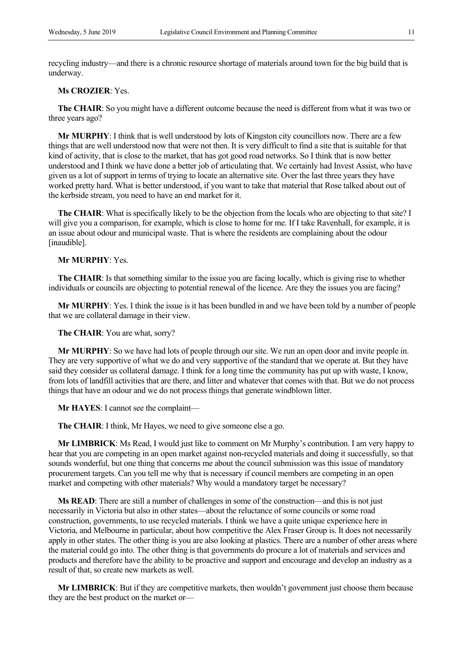recycling industry—and there is a chronic resource shortage of materials around town for the big build that is underway.

# **Ms CROZIER**: Yes.

**The CHAIR**: So you might have a different outcome because the need is different from what it was two or three years ago?

**Mr MURPHY**: I think that is well understood by lots of Kingston city councillors now. There are a few things that are well understood now that were not then. It is very difficult to find a site that is suitable for that kind of activity, that is close to the market, that has got good road networks. So I think that is now better understood and I think we have done a better job of articulating that. We certainly had Invest Assist, who have given us a lot of support in terms of trying to locate an alternative site. Over the last three years they have worked pretty hard. What is better understood, if you want to take that material that Rose talked about out of the kerbside stream, you need to have an end market for it.

**The CHAIR:** What is specifically likely to be the objection from the locals who are objecting to that site? I will give you a comparison, for example, which is close to home for me. If I take Ravenhall, for example, it is an issue about odour and municipal waste. That is where the residents are complaining about the odour [inaudible].

### **Mr MURPHY**: Yes.

**The CHAIR**: Is that something similar to the issue you are facing locally, which is giving rise to whether individuals or councils are objecting to potential renewal of the licence. Are they the issues you are facing?

**Mr MURPHY**: Yes. I think the issue is it has been bundled in and we have been told by a number of people that we are collateral damage in their view.

**The CHAIR**: You are what, sorry?

**Mr MURPHY**: So we have had lots of people through our site. We run an open door and invite people in. They are very supportive of what we do and very supportive of the standard that we operate at. But they have said they consider us collateral damage. I think for a long time the community has put up with waste, I know, from lots of landfill activities that are there, and litter and whatever that comes with that. But we do not process things that have an odour and we do not process things that generate windblown litter.

**Mr HAYES**: I cannot see the complaint—

**The CHAIR**: I think, Mr Hayes, we need to give someone else a go.

**Mr LIMBRICK**: Ms Read, I would just like to comment on Mr Murphy's contribution. I am very happy to hear that you are competing in an open market against non-recycled materials and doing it successfully, so that sounds wonderful, but one thing that concerns me about the council submission was this issue of mandatory procurement targets. Can you tell me why that is necessary if council members are competing in an open market and competing with other materials? Why would a mandatory target be necessary?

**Ms READ**: There are still a number of challenges in some of the construction—and this is not just necessarily in Victoria but also in other states—about the reluctance of some councils or some road construction, governments, to use recycled materials. I think we have a quite unique experience here in Victoria, and Melbourne in particular, about how competitive the Alex Fraser Group is. It does not necessarily apply in other states. The other thing is you are also looking at plastics. There are a number of other areas where the material could go into. The other thing is that governments do procure a lot of materials and services and products and therefore have the ability to be proactive and support and encourage and develop an industry as a result of that, so create new markets as well.

**Mr LIMBRICK**: But if they are competitive markets, then wouldn't government just choose them because they are the best product on the market or—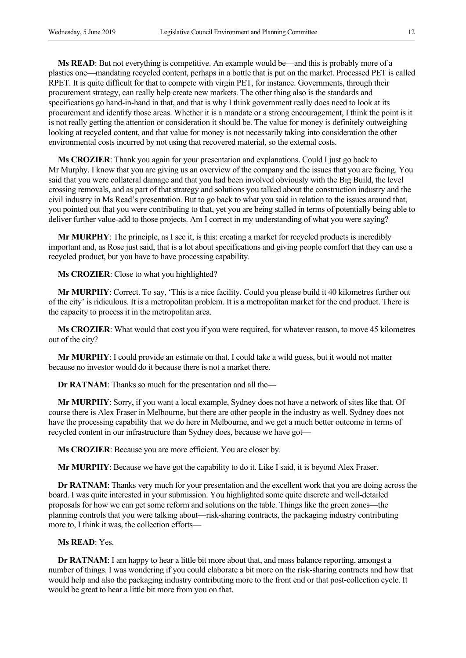**Ms READ**: But not everything is competitive. An example would be—and this is probably more of a plastics one—mandating recycled content, perhaps in a bottle that is put on the market. Processed PET is called RPET. It is quite difficult for that to compete with virgin PET, for instance. Governments, through their procurement strategy, can really help create new markets. The other thing also is the standards and specifications go hand-in-hand in that, and that is why I think government really does need to look at its procurement and identify those areas. Whether it is a mandate or a strong encouragement, I think the point is it is not really getting the attention or consideration it should be. The value for money is definitely outweighing looking at recycled content, and that value for money is not necessarily taking into consideration the other environmental costs incurred by not using that recovered material, so the external costs.

**Ms CROZIER**: Thank you again for your presentation and explanations. Could I just go back to Mr Murphy. I know that you are giving us an overview of the company and the issues that you are facing. You said that you were collateral damage and that you had been involved obviously with the Big Build, the level crossing removals, and as part of that strategy and solutions you talked about the construction industry and the civil industry in Ms Read's presentation. But to go back to what you said in relation to the issues around that, you pointed out that you were contributing to that, yet you are being stalled in terms of potentially being able to deliver further value-add to those projects. Am I correct in my understanding of what you were saying?

**Mr MURPHY**: The principle, as I see it, is this: creating a market for recycled products is incredibly important and, as Rose just said, that is a lot about specifications and giving people comfort that they can use a recycled product, but you have to have processing capability.

**Ms CROZIER**: Close to what you highlighted?

**Mr MURPHY**: Correct. To say, 'This is a nice facility. Could you please build it 40 kilometres further out of the city' is ridiculous. It is a metropolitan problem. It is a metropolitan market for the end product. There is the capacity to process it in the metropolitan area.

**Ms CROZIER**: What would that cost you if you were required, for whatever reason, to move 45 kilometres out of the city?

**Mr MURPHY**: I could provide an estimate on that. I could take a wild guess, but it would not matter because no investor would do it because there is not a market there.

**Dr RATNAM**: Thanks so much for the presentation and all the—

**Mr MURPHY**: Sorry, if you want a local example, Sydney does not have a network of sites like that. Of course there is Alex Fraser in Melbourne, but there are other people in the industry as well. Sydney does not have the processing capability that we do here in Melbourne, and we get a much better outcome in terms of recycled content in our infrastructure than Sydney does, because we have got—

**Ms CROZIER**: Because you are more efficient. You are closer by.

**Mr MURPHY**: Because we have got the capability to do it. Like I said, it is beyond Alex Fraser.

**Dr RATNAM**: Thanks very much for your presentation and the excellent work that you are doing across the board. I was quite interested in your submission. You highlighted some quite discrete and well-detailed proposals for how we can get some reform and solutions on the table. Things like the green zones—the planning controls that you were talking about—risk-sharing contracts, the packaging industry contributing more to, I think it was, the collection efforts—

## **Ms READ**: Yes.

**Dr RATNAM**: I am happy to hear a little bit more about that, and mass balance reporting, amongst a number of things. I was wondering if you could elaborate a bit more on the risk-sharing contracts and how that would help and also the packaging industry contributing more to the front end or that post-collection cycle. It would be great to hear a little bit more from you on that.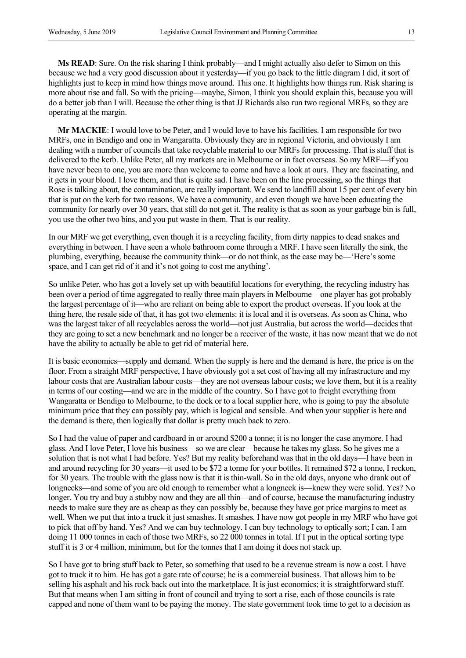**Ms READ**: Sure. On the risk sharing I think probably—and I might actually also defer to Simon on this because we had a very good discussion about it yesterday—if you go back to the little diagram I did, it sort of highlights just to keep in mind how things move around. This one. It highlights how things run. Risk sharing is more about rise and fall. So with the pricing—maybe, Simon, I think you should explain this, because you will do a better job than I will. Because the other thing is that JJ Richards also run two regional MRFs, so they are operating at the margin.

**Mr MACKIE**: I would love to be Peter, and I would love to have his facilities. I am responsible for two MRFs, one in Bendigo and one in Wangaratta. Obviously they are in regional Victoria, and obviously I am dealing with a number of councils that take recyclable material to our MRFs for processing. That is stuff that is delivered to the kerb. Unlike Peter, all my markets are in Melbourne or in fact overseas. So my MRF—if you have never been to one, you are more than welcome to come and have a look at ours. They are fascinating, and it gets in your blood. I love them, and that is quite sad. I have been on the line processing, so the things that Rose is talking about, the contamination, are really important. We send to landfill about 15 per cent of every bin that is put on the kerb for two reasons. We have a community, and even though we have been educating the community for nearly over 30 years, that still do not get it. The reality is that as soon as your garbage bin is full, you use the other two bins, and you put waste in them. That is our reality.

In our MRF we get everything, even though it is a recycling facility, from dirty nappies to dead snakes and everything in between. I have seen a whole bathroom come through a MRF. I have seen literally the sink, the plumbing, everything, because the community think—or do not think, as the case may be—'Here's some space, and I can get rid of it and it's not going to cost me anything'.

So unlike Peter, who has got a lovely set up with beautiful locations for everything, the recycling industry has been over a period of time aggregated to really three main players in Melbourne—one player has got probably the largest percentage of it—who are reliant on being able to export the product overseas. If you look at the thing here, the resale side of that, it has got two elements: it is local and it is overseas. As soon as China, who was the largest taker of all recyclables across the world—not just Australia, but across the world—decides that they are going to set a new benchmark and no longer be a receiver of the waste, it has now meant that we do not have the ability to actually be able to get rid of material here.

It is basic economics—supply and demand. When the supply is here and the demand is here, the price is on the floor. From a straight MRF perspective, I have obviously got a set cost of having all my infrastructure and my labour costs that are Australian labour costs—they are not overseas labour costs; we love them, but it is a reality in terms of our costing—and we are in the middle of the country. So I have got to freight everything from Wangaratta or Bendigo to Melbourne, to the dock or to a local supplier here, who is going to pay the absolute minimum price that they can possibly pay, which is logical and sensible. And when your supplier is here and the demand is there, then logically that dollar is pretty much back to zero.

So I had the value of paper and cardboard in or around \$200 a tonne; it is no longer the case anymore. I had glass. And I love Peter, I love his business—so we are clear—because he takes my glass. So he gives me a solution that is not what I had before. Yes? But my reality beforehand was that in the old days—I have been in and around recycling for 30 years—it used to be \$72 a tonne for your bottles. It remained \$72 a tonne, I reckon, for 30 years. The trouble with the glass now is that it is thin-wall. So in the old days, anyone who drank out of longnecks—and some of you are old enough to remember what a longneck is—knew they were solid. Yes? No longer. You try and buy a stubby now and they are all thin—and of course, because the manufacturing industry needs to make sure they are as cheap as they can possibly be, because they have got price margins to meet as well. When we put that into a truck it just smashes. It smashes. I have now got people in my MRF who have got to pick that off by hand. Yes? And we can buy technology. I can buy technology to optically sort; I can. I am doing 11 000 tonnes in each of those two MRFs, so 22 000 tonnes in total. If I put in the optical sorting type stuff it is 3 or 4 million, minimum, but for the tonnes that I am doing it does not stack up.

So I have got to bring stuff back to Peter, so something that used to be a revenue stream is now a cost. I have got to truck it to him. He has got a gate rate of course; he is a commercial business. That allows him to be selling his asphalt and his rock back out into the marketplace. It is just economics; it is straightforward stuff. But that means when I am sitting in front of council and trying to sort a rise, each of those councils is rate capped and none of them want to be paying the money. The state government took time to get to a decision as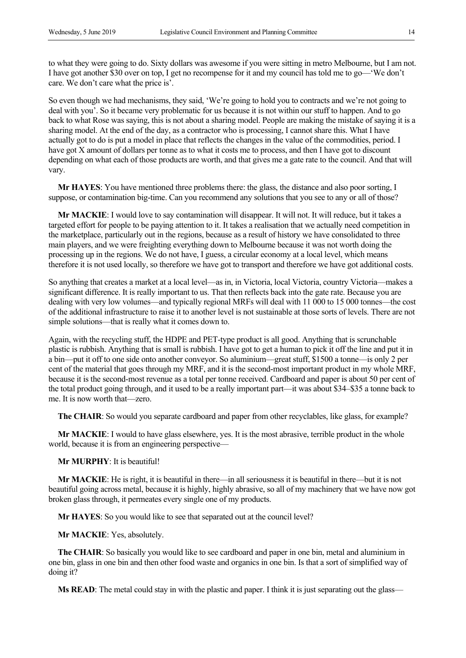to what they were going to do. Sixty dollars was awesome if you were sitting in metro Melbourne, but I am not. I have got another \$30 over on top, I get no recompense for it and my council has told me to go—'We don't care. We don't care what the price is'.

So even though we had mechanisms, they said, 'We're going to hold you to contracts and we're not going to deal with you'. So it became very problematic for us because it is not within our stuff to happen. And to go back to what Rose was saying, this is not about a sharing model. People are making the mistake of saying it is a sharing model. At the end of the day, as a contractor who is processing, I cannot share this. What I have actually got to do is put a model in place that reflects the changes in the value of the commodities, period. I have got X amount of dollars per tonne as to what it costs me to process, and then I have got to discount depending on what each of those products are worth, and that gives me a gate rate to the council. And that will vary.

**Mr HAYES**: You have mentioned three problems there: the glass, the distance and also poor sorting, I suppose, or contamination big-time. Can you recommend any solutions that you see to any or all of those?

**Mr MACKIE**: I would love to say contamination will disappear. It will not. It will reduce, but it takes a targeted effort for people to be paying attention to it. It takes a realisation that we actually need competition in the marketplace, particularly out in the regions, because as a result of history we have consolidated to three main players, and we were freighting everything down to Melbourne because it was not worth doing the processing up in the regions. We do not have, I guess, a circular economy at a local level, which means therefore it is not used locally, so therefore we have got to transport and therefore we have got additional costs.

So anything that creates a market at a local level—as in, in Victoria, local Victoria, country Victoria—makes a significant difference. It is really important to us. That then reflects back into the gate rate. Because you are dealing with very low volumes—and typically regional MRFs will deal with 11 000 to 15 000 tonnes—the cost of the additional infrastructure to raise it to another level is not sustainable at those sorts of levels. There are not simple solutions—that is really what it comes down to.

Again, with the recycling stuff, the HDPE and PET-type product is all good. Anything that is scrunchable plastic is rubbish. Anything that is small is rubbish. I have got to get a human to pick it off the line and put it in a bin—put it off to one side onto another conveyor. So aluminium—great stuff, \$1500 a tonne—is only 2 per cent of the material that goes through my MRF, and it is the second-most important product in my whole MRF, because it is the second-most revenue as a total per tonne received. Cardboard and paper is about 50 per cent of the total product going through, and it used to be a really important part—it was about \$34–\$35 a tonne back to me. It is now worth that—zero.

**The CHAIR**: So would you separate cardboard and paper from other recyclables, like glass, for example?

**Mr MACKIE:** I would to have glass elsewhere, yes. It is the most abrasive, terrible product in the whole world, because it is from an engineering perspective—

**Mr MURPHY**: It is beautiful!

**Mr MACKIE**: He is right, it is beautiful in there—in all seriousness it is beautiful in there—but it is not beautiful going across metal, because it is highly, highly abrasive, so all of my machinery that we have now got broken glass through, it permeates every single one of my products.

 **Mr HAYES**: So you would like to see that separated out at the council level?

**Mr MACKIE**: Yes, absolutely.

**The CHAIR**: So basically you would like to see cardboard and paper in one bin, metal and aluminium in one bin, glass in one bin and then other food waste and organics in one bin. Is that a sort of simplified way of doing it?

**Ms READ:** The metal could stay in with the plastic and paper. I think it is just separating out the glass—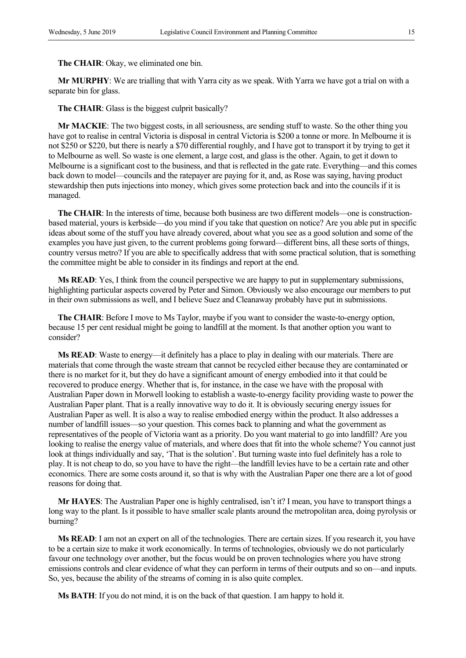**The CHAIR**: Okay, we eliminated one bin.

**Mr MURPHY**: We are trialling that with Yarra city as we speak. With Yarra we have got a trial on with a separate bin for glass.

**The CHAIR**: Glass is the biggest culprit basically?

**Mr MACKIE**: The two biggest costs, in all seriousness, are sending stuff to waste. So the other thing you have got to realise in central Victoria is disposal in central Victoria is \$200 a tonne or more. In Melbourne it is not \$250 or \$220, but there is nearly a \$70 differential roughly, and I have got to transport it by trying to get it to Melbourne as well. So waste is one element, a large cost, and glass is the other. Again, to get it down to Melbourne is a significant cost to the business, and that is reflected in the gate rate. Everything—and this comes back down to model—councils and the ratepayer are paying for it, and, as Rose was saying, having product stewardship then puts injections into money, which gives some protection back and into the councils if it is managed.

**The CHAIR**: In the interests of time, because both business are two different models—one is constructionbased material, yours is kerbside—do you mind if you take that question on notice? Are you able put in specific ideas about some of the stuff you have already covered, about what you see as a good solution and some of the examples you have just given, to the current problems going forward—different bins, all these sorts of things, country versus metro? If you are able to specifically address that with some practical solution, that is something the committee might be able to consider in its findings and report at the end.

**Ms READ**: Yes, I think from the council perspective we are happy to put in supplementary submissions, highlighting particular aspects covered by Peter and Simon. Obviously we also encourage our members to put in their own submissions as well, and I believe Suez and Cleanaway probably have put in submissions.

**The CHAIR**: Before I move to Ms Taylor, maybe if you want to consider the waste-to-energy option, because 15 per cent residual might be going to landfill at the moment. Is that another option you want to consider?

**Ms READ**: Waste to energy—it definitely has a place to play in dealing with our materials. There are materials that come through the waste stream that cannot be recycled either because they are contaminated or there is no market for it, but they do have a significant amount of energy embodied into it that could be recovered to produce energy. Whether that is, for instance, in the case we have with the proposal with Australian Paper down in Morwell looking to establish a waste-to-energy facility providing waste to power the Australian Paper plant. That is a really innovative way to do it. It is obviously securing energy issues for Australian Paper as well. It is also a way to realise embodied energy within the product. It also addresses a number of landfill issues—so your question. This comes back to planning and what the government as representatives of the people of Victoria want as a priority. Do you want material to go into landfill? Are you looking to realise the energy value of materials, and where does that fit into the whole scheme? You cannot just look at things individually and say, 'That is the solution'. But turning waste into fuel definitely has a role to play. It is not cheap to do, so you have to have the right—the landfill levies have to be a certain rate and other economics. There are some costs around it, so that is why with the Australian Paper one there are a lot of good reasons for doing that.

**Mr HAYES**: The Australian Paper one is highly centralised, isn't it? I mean, you have to transport things a long way to the plant. Is it possible to have smaller scale plants around the metropolitan area, doing pyrolysis or burning?

**Ms READ**: I am not an expert on all of the technologies. There are certain sizes. If you research it, you have to be a certain size to make it work economically. In terms of technologies, obviously we do not particularly favour one technology over another, but the focus would be on proven technologies where you have strong emissions controls and clear evidence of what they can perform in terms of their outputs and so on—and inputs. So, yes, because the ability of the streams of coming in is also quite complex.

**Ms BATH**: If you do not mind, it is on the back of that question. I am happy to hold it.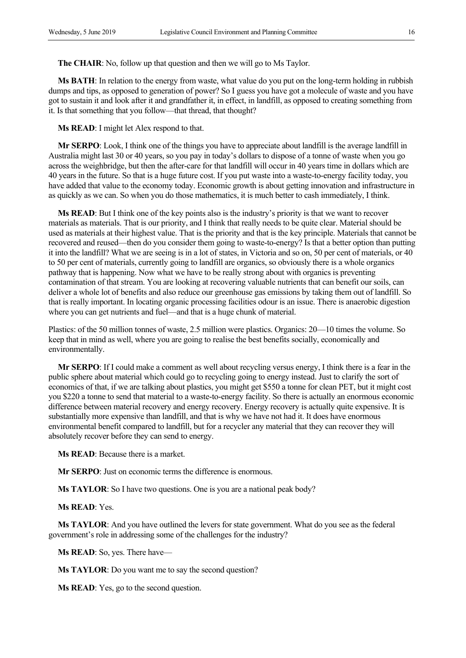**The CHAIR**: No, follow up that question and then we will go to Ms Taylor.

**Ms BATH**: In relation to the energy from waste, what value do you put on the long-term holding in rubbish dumps and tips, as opposed to generation of power? So I guess you have got a molecule of waste and you have got to sustain it and look after it and grandfather it, in effect, in landfill, as opposed to creating something from it. Is that something that you follow—that thread, that thought?

**Ms READ**: I might let Alex respond to that.

**Mr SERPO**: Look, I think one of the things you have to appreciate about landfill is the average landfill in Australia might last 30 or 40 years, so you pay in today's dollars to dispose of a tonne of waste when you go across the weighbridge, but then the after-care for that landfill will occur in 40 years time in dollars which are 40 years in the future. So that is a huge future cost. If you put waste into a waste-to-energy facility today, you have added that value to the economy today. Economic growth is about getting innovation and infrastructure in as quickly as we can. So when you do those mathematics, it is much better to cash immediately, I think.

**Ms READ**: But I think one of the key points also is the industry's priority is that we want to recover materials as materials. That is our priority, and I think that really needs to be quite clear. Material should be used as materials at their highest value. That is the priority and that is the key principle. Materials that cannot be recovered and reused—then do you consider them going to waste-to-energy? Is that a better option than putting it into the landfill? What we are seeing is in a lot of states, in Victoria and so on, 50 per cent of materials, or 40 to 50 per cent of materials, currently going to landfill are organics, so obviously there is a whole organics pathway that is happening. Now what we have to be really strong about with organics is preventing contamination of that stream. You are looking at recovering valuable nutrients that can benefit our soils, can deliver a whole lot of benefits and also reduce our greenhouse gas emissions by taking them out of landfill. So that is really important. In locating organic processing facilities odour is an issue. There is anaerobic digestion where you can get nutrients and fuel—and that is a huge chunk of material.

Plastics: of the 50 million tonnes of waste, 2.5 million were plastics. Organics: 20—10 times the volume. So keep that in mind as well, where you are going to realise the best benefits socially, economically and environmentally.

**Mr SERPO**: If I could make a comment as well about recycling versus energy, I think there is a fear in the public sphere about material which could go to recycling going to energy instead. Just to clarify the sort of economics of that, if we are talking about plastics, you might get \$550 a tonne for clean PET, but it might cost you \$220 a tonne to send that material to a waste-to-energy facility. So there is actually an enormous economic difference between material recovery and energy recovery. Energy recovery is actually quite expensive. It is substantially more expensive than landfill, and that is why we have not had it. It does have enormous environmental benefit compared to landfill, but for a recycler any material that they can recover they will absolutely recover before they can send to energy.

**Ms READ**: Because there is a market.

**Mr SERPO:** Just on economic terms the difference is enormous.

**Ms TAYLOR**: So I have two questions. One is you are a national peak body?

**Ms READ**: Yes.

**Ms TAYLOR**: And you have outlined the levers for state government. What do you see as the federal government's role in addressing some of the challenges for the industry?

**Ms READ**: So, yes. There have—

**Ms TAYLOR:** Do you want me to say the second question?

**Ms READ**: Yes, go to the second question.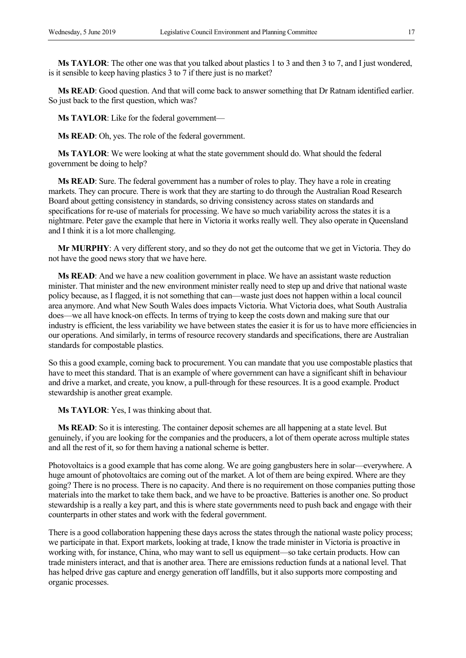**Ms TAYLOR**: The other one was that you talked about plastics 1 to 3 and then 3 to 7, and I just wondered, is it sensible to keep having plastics 3 to 7 if there just is no market?

**Ms READ**: Good question. And that will come back to answer something that Dr Ratnam identified earlier. So just back to the first question, which was?

**Ms TAYLOR**: Like for the federal government—

**Ms READ**: Oh, yes. The role of the federal government.

**Ms TAYLOR**: We were looking at what the state government should do. What should the federal government be doing to help?

**Ms READ**: Sure. The federal government has a number of roles to play. They have a role in creating markets. They can procure. There is work that they are starting to do through the Australian Road Research Board about getting consistency in standards, so driving consistency across states on standards and specifications for re-use of materials for processing. We have so much variability across the states it is a nightmare. Peter gave the example that here in Victoria it works really well. They also operate in Queensland and I think it is a lot more challenging.

**Mr MURPHY**: A very different story, and so they do not get the outcome that we get in Victoria. They do not have the good news story that we have here.

**Ms READ**: And we have a new coalition government in place. We have an assistant waste reduction minister. That minister and the new environment minister really need to step up and drive that national waste policy because, as I flagged, it is not something that can—waste just does not happen within a local council area anymore. And what New South Wales does impacts Victoria. What Victoria does, what South Australia does—we all have knock-on effects. In terms of trying to keep the costs down and making sure that our industry is efficient, the less variability we have between states the easier it is for us to have more efficiencies in our operations. And similarly, in terms of resource recovery standards and specifications, there are Australian standards for compostable plastics.

So this a good example, coming back to procurement. You can mandate that you use compostable plastics that have to meet this standard. That is an example of where government can have a significant shift in behaviour and drive a market, and create, you know, a pull-through for these resources. It is a good example. Product stewardship is another great example.

**Ms TAYLOR**: Yes, I was thinking about that.

**Ms READ**: So it is interesting. The container deposit schemes are all happening at a state level. But genuinely, if you are looking for the companies and the producers, a lot of them operate across multiple states and all the rest of it, so for them having a national scheme is better.

Photovoltaics is a good example that has come along. We are going gangbusters here in solar—everywhere. A huge amount of photovoltaics are coming out of the market. A lot of them are being expired. Where are they going? There is no process. There is no capacity. And there is no requirement on those companies putting those materials into the market to take them back, and we have to be proactive. Batteries is another one. So product stewardship is a really a key part, and this is where state governments need to push back and engage with their counterparts in other states and work with the federal government.

There is a good collaboration happening these days across the states through the national waste policy process; we participate in that. Export markets, looking at trade, I know the trade minister in Victoria is proactive in working with, for instance, China, who may want to sell us equipment—so take certain products. How can trade ministers interact, and that is another area. There are emissions reduction funds at a national level. That has helped drive gas capture and energy generation off landfills, but it also supports more composting and organic processes.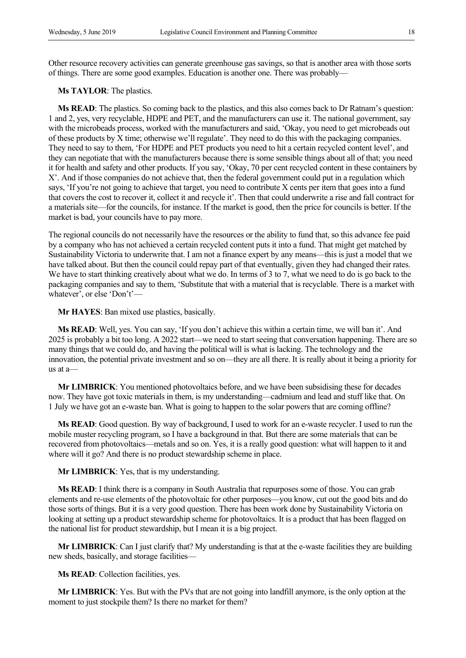Other resource recovery activities can generate greenhouse gas savings, so that is another area with those sorts of things. There are some good examples. Education is another one. There was probably—

**Ms TAYLOR**: The plastics.

**Ms READ**: The plastics. So coming back to the plastics, and this also comes back to Dr Ratnam's question: 1 and 2, yes, very recyclable, HDPE and PET, and the manufacturers can use it. The national government, say with the microbeads process, worked with the manufacturers and said, 'Okay, you need to get microbeads out of these products by X time; otherwise we'll regulate'. They need to do this with the packaging companies. They need to say to them, 'For HDPE and PET products you need to hit a certain recycled content level', and they can negotiate that with the manufacturers because there is some sensible things about all of that; you need it for health and safety and other products. If you say, 'Okay, 70 per cent recycled content in these containers by X'. And if those companies do not achieve that, then the federal government could put in a regulation which says, 'If you're not going to achieve that target, you need to contribute X cents per item that goes into a fund that covers the cost to recover it, collect it and recycle it'. Then that could underwrite a rise and fall contract for a materials site—for the councils, for instance. If the market is good, then the price for councils is better. If the market is bad, your councils have to pay more.

The regional councils do not necessarily have the resources or the ability to fund that, so this advance fee paid by a company who has not achieved a certain recycled content puts it into a fund. That might get matched by Sustainability Victoria to underwrite that. I am not a finance expert by any means—this is just a model that we have talked about. But then the council could repay part of that eventually, given they had changed their rates. We have to start thinking creatively about what we do. In terms of 3 to 7, what we need to do is go back to the packaging companies and say to them, 'Substitute that with a material that is recyclable. There is a market with whatever', or else 'Don't'—

**Mr HAYES**: Ban mixed use plastics, basically.

**Ms READ**: Well, yes. You can say, 'If you don't achieve this within a certain time, we will ban it'. And 2025 is probably a bit too long. A 2022 start—we need to start seeing that conversation happening. There are so many things that we could do, and having the political will is what is lacking. The technology and the innovation, the potential private investment and so on—they are all there. It is really about it being a priority for us at a—

**Mr LIMBRICK**: You mentioned photovoltaics before, and we have been subsidising these for decades now. They have got toxic materials in them, is my understanding—cadmium and lead and stuff like that. On 1 July we have got an e-waste ban. What is going to happen to the solar powers that are coming offline?

**Ms READ**: Good question. By way of background, I used to work for an e-waste recycler. I used to run the mobile muster recycling program, so I have a background in that. But there are some materials that can be recovered from photovoltaics—metals and so on. Yes, it is a really good question: what will happen to it and where will it go? And there is no product stewardship scheme in place.

**Mr LIMBRICK**: Yes, that is my understanding.

**Ms READ**: I think there is a company in South Australia that repurposes some of those. You can grab elements and re-use elements of the photovoltaic for other purposes—you know, cut out the good bits and do those sorts of things. But it is a very good question. There has been work done by Sustainability Victoria on looking at setting up a product stewardship scheme for photovoltaics. It is a product that has been flagged on the national list for product stewardship, but I mean it is a big project.

**Mr LIMBRICK**: Can I just clarify that? My understanding is that at the e-waste facilities they are building new sheds, basically, and storage facilities—

**Ms READ**: Collection facilities, yes.

**Mr LIMBRICK**: Yes. But with the PVs that are not going into landfill anymore, is the only option at the moment to just stockpile them? Is there no market for them?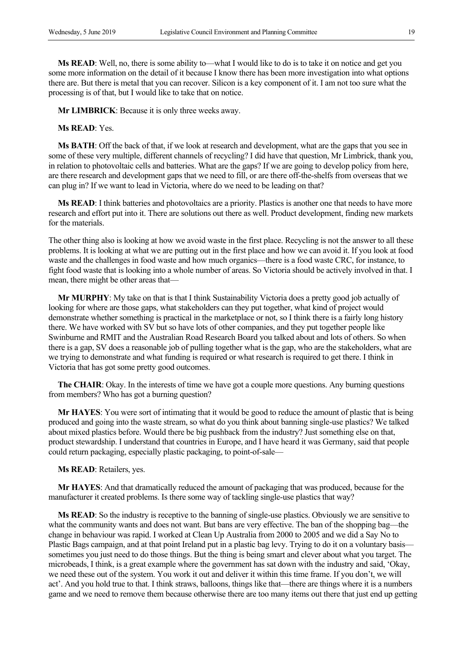**Ms READ**: Well, no, there is some ability to—what I would like to do is to take it on notice and get you some more information on the detail of it because I know there has been more investigation into what options there are. But there is metal that you can recover. Silicon is a key component of it. I am not too sure what the processing is of that, but I would like to take that on notice.

**Mr LIMBRICK**: Because it is only three weeks away.

**Ms READ**: Yes.

**Ms BATH**: Off the back of that, if we look at research and development, what are the gaps that you see in some of these very multiple, different channels of recycling? I did have that question, Mr Limbrick, thank you, in relation to photovoltaic cells and batteries. What are the gaps? If we are going to develop policy from here, are there research and development gaps that we need to fill, or are there off-the-shelfs from overseas that we can plug in? If we want to lead in Victoria, where do we need to be leading on that?

**Ms READ**: I think batteries and photovoltaics are a priority. Plastics is another one that needs to have more research and effort put into it. There are solutions out there as well. Product development, finding new markets for the materials.

The other thing also is looking at how we avoid waste in the first place. Recycling is not the answer to all these problems. It is looking at what we are putting out in the first place and how we can avoid it. If you look at food waste and the challenges in food waste and how much organics—there is a food waste CRC, for instance, to fight food waste that is looking into a whole number of areas. So Victoria should be actively involved in that. I mean, there might be other areas that—

**Mr MURPHY**: My take on that is that I think Sustainability Victoria does a pretty good job actually of looking for where are those gaps, what stakeholders can they put together, what kind of project would demonstrate whether something is practical in the marketplace or not, so I think there is a fairly long history there. We have worked with SV but so have lots of other companies, and they put together people like Swinburne and RMIT and the Australian Road Research Board you talked about and lots of others. So when there is a gap, SV does a reasonable job of pulling together what is the gap, who are the stakeholders, what are we trying to demonstrate and what funding is required or what research is required to get there. I think in Victoria that has got some pretty good outcomes.

**The CHAIR**: Okay. In the interests of time we have got a couple more questions. Any burning questions from members? Who has got a burning question?

**Mr HAYES**: You were sort of intimating that it would be good to reduce the amount of plastic that is being produced and going into the waste stream, so what do you think about banning single-use plastics? We talked about mixed plastics before. Would there be big pushback from the industry? Just something else on that, product stewardship. I understand that countries in Europe, and I have heard it was Germany, said that people could return packaging, especially plastic packaging, to point-of-sale—

**Ms READ**: Retailers, yes.

**Mr HAYES**: And that dramatically reduced the amount of packaging that was produced, because for the manufacturer it created problems. Is there some way of tackling single-use plastics that way?

**Ms READ**: So the industry is receptive to the banning of single-use plastics. Obviously we are sensitive to what the community wants and does not want. But bans are very effective. The ban of the shopping bag—the change in behaviour was rapid. I worked at Clean Up Australia from 2000 to 2005 and we did a Say No to Plastic Bags campaign, and at that point Ireland put in a plastic bag levy. Trying to do it on a voluntary basis sometimes you just need to do those things. But the thing is being smart and clever about what you target. The microbeads, I think, is a great example where the government has sat down with the industry and said, 'Okay, we need these out of the system. You work it out and deliver it within this time frame. If you don't, we will act'. And you hold true to that. I think straws, balloons, things like that—there are things where it is a numbers game and we need to remove them because otherwise there are too many items out there that just end up getting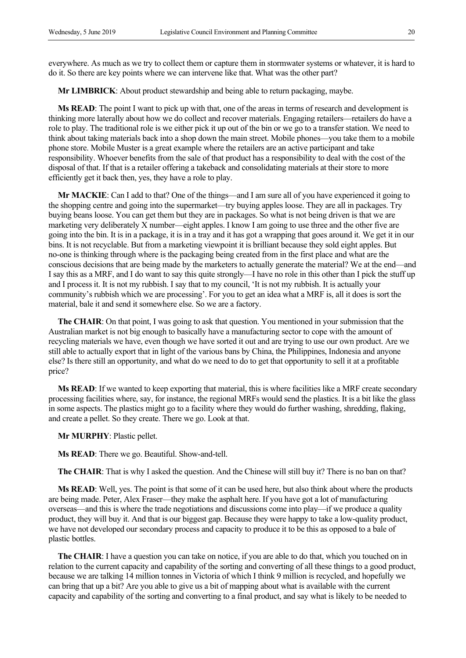everywhere. As much as we try to collect them or capture them in stormwater systems or whatever, it is hard to do it. So there are key points where we can intervene like that. What was the other part?

**Mr LIMBRICK**: About product stewardship and being able to return packaging, maybe.

**Ms READ**: The point I want to pick up with that, one of the areas in terms of research and development is thinking more laterally about how we do collect and recover materials. Engaging retailers—retailers do have a role to play. The traditional role is we either pick it up out of the bin or we go to a transfer station. We need to think about taking materials back into a shop down the main street. Mobile phones—you take them to a mobile phone store. Mobile Muster is a great example where the retailers are an active participant and take responsibility. Whoever benefits from the sale of that product has a responsibility to deal with the cost of the disposal of that. If that is a retailer offering a takeback and consolidating materials at their store to more efficiently get it back then, yes, they have a role to play.

**Mr MACKIE**: Can I add to that? One of the things—and I am sure all of you have experienced it going to the shopping centre and going into the supermarket—try buying apples loose. They are all in packages. Try buying beans loose. You can get them but they are in packages. So what is not being driven is that we are marketing very deliberately X number—eight apples. I know I am going to use three and the other five are going into the bin. It is in a package, it is in a tray and it has got a wrapping that goes around it. We get it in our bins. It is not recyclable. But from a marketing viewpoint it is brilliant because they sold eight apples. But no-one is thinking through where is the packaging being created from in the first place and what are the conscious decisions that are being made by the marketers to actually generate the material? We at the end—and I say this as a MRF, and I do want to say this quite strongly—I have no role in this other than I pick the stuff up and I process it. It is not my rubbish. I say that to my council, 'It is not my rubbish. It is actually your community's rubbish which we are processing'. For you to get an idea what a MRF is, all it does is sort the material, bale it and send it somewhere else. So we are a factory.

**The CHAIR**: On that point, I was going to ask that question. You mentioned in your submission that the Australian market is not big enough to basically have a manufacturing sector to cope with the amount of recycling materials we have, even though we have sorted it out and are trying to use our own product. Are we still able to actually export that in light of the various bans by China, the Philippines, Indonesia and anyone else? Is there still an opportunity, and what do we need to do to get that opportunity to sell it at a profitable price?

**Ms READ**: If we wanted to keep exporting that material, this is where facilities like a MRF create secondary processing facilities where, say, for instance, the regional MRFs would send the plastics. It is a bit like the glass in some aspects. The plastics might go to a facility where they would do further washing, shredding, flaking, and create a pellet. So they create. There we go. Look at that.

**Mr MURPHY**: Plastic pellet.

**Ms READ**: There we go. Beautiful. Show-and-tell.

**The CHAIR:** That is why I asked the question. And the Chinese will still buy it? There is no ban on that?

**Ms READ**: Well, yes. The point is that some of it can be used here, but also think about where the products are being made. Peter, Alex Fraser—they make the asphalt here. If you have got a lot of manufacturing overseas—and this is where the trade negotiations and discussions come into play—if we produce a quality product, they will buy it. And that is our biggest gap. Because they were happy to take a low-quality product, we have not developed our secondary process and capacity to produce it to be this as opposed to a bale of plastic bottles.

**The CHAIR**: I have a question you can take on notice, if you are able to do that, which you touched on in relation to the current capacity and capability of the sorting and converting of all these things to a good product, because we are talking 14 million tonnes in Victoria of which I think 9 million is recycled, and hopefully we can bring that up a bit? Are you able to give us a bit of mapping about what is available with the current capacity and capability of the sorting and converting to a final product, and say what is likely to be needed to